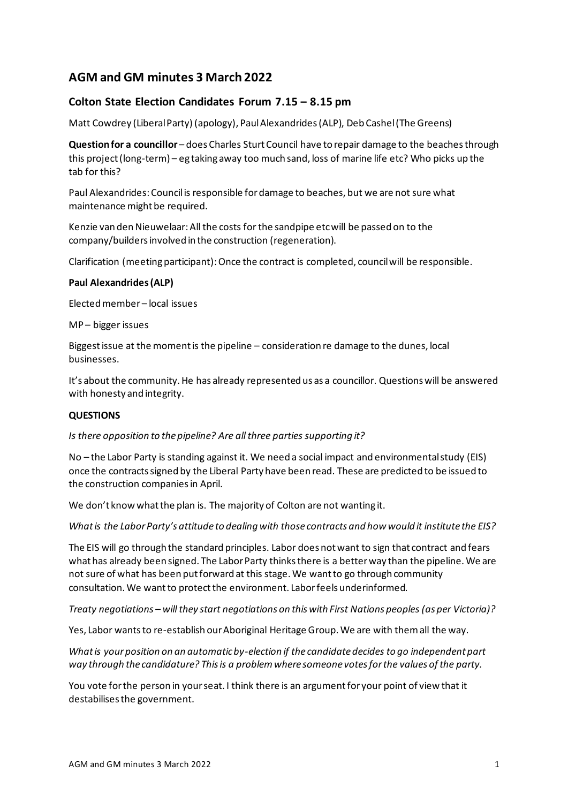# **AGM and GM minutes 3 March 2022**

## **Colton State Election Candidates Forum 7.15 – 8.15 pm**

Matt Cowdrey (Liberal Party) (apology), Paul Alexandrides (ALP), Deb Cashel (The Greens)

**Question for a councillor** – does Charles Sturt Council have to repair damage to the beaches through this project (long-term) – eg taking away too much sand, loss of marine life etc? Who picks up the tab for this?

Paul Alexandrides: Council is responsible for damage to beaches, but we are not sure what maintenance might be required.

Kenzie van den Nieuwelaar: All the costs for the sandpipe etc will be passed on to the company/builders involved in the construction (regeneration).

Clarification (meeting participant): Once the contract is completed, council will be responsible.

#### **Paul Alexandrides (ALP)**

Elected member – local issues

MP – bigger issues

Biggest issue at the moment is the pipeline – consideration re damage to the dunes, local businesses.

It's about the community. He has already represented us as a councillor. Questions will be answered with honesty and integrity.

#### **QUESTIONS**

*Is there opposition to the pipeline? Are all three parties supporting it?*

No – the Labor Party is standing against it. We need a social impact and environmental study (EIS) once the contracts signed by the Liberal Party have been read. These are predicted to be issued to the construction companies in April.

We don't know what the plan is. The majority of Colton are not wanting it.

*What is the Labor Party's attitude to dealing with those contracts and how would it institute the EIS?*

The EIS will go through the standard principles. Labor does not want to sign that contract and fears what has already been signed. The Labor Party thinks there is a better way than the pipeline. We are not sure of what has been put forward at this stage. We want to go through community consultation. We want to protect the environment. Labor feels underinformed.

*Treaty negotiations – will they start negotiations on this with First Nations peoples (as per Victoria)?*

Yes, Labor wants to re-establish our Aboriginal Heritage Group. We are with them all the way.

*What is your position on an automatic by-election if the candidate decides to go independent part way through the candidature? This is a problem where someone votes for the values of the party.*

You vote for the person in your seat. I think there is an argument for your point of view that it destabilises the government.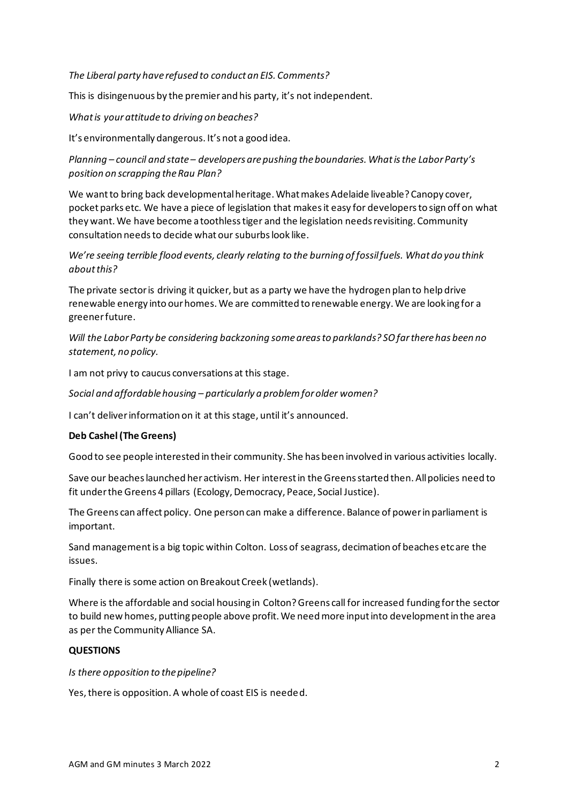*The Liberal party have refused to conduct an EIS. Comments?*

This is disingenuous by the premier and his party, it's not independent.

*What is your attitude to driving on beaches?*

It's environmentally dangerous. It's not a good idea.

*Planning – council and state – developers are pushing the boundaries. What is the Labor Party's position on scrapping the Rau Plan?*

We want to bring back developmental heritage. What makes Adelaide liveable? Canopy cover, pocket parks etc. We have a piece of legislation that makes it easy for developers to sign off on what they want. We have become a toothless tiger and the legislation needs revisiting. Community consultation needs to decide what our suburbs look like.

*We're seeing terrible flood events, clearly relating to the burning of fossil fuels. What do you think about this?*

The private sector is driving it quicker, but as a party we have the hydrogen plan to help drive renewable energy into our homes. We are committed to renewable energy. We are looking for a greener future.

*Will the Labor Party be considering backzoning some areas to parklands? SO far there has been no statement, no policy.*

I am not privy to caucus conversations at this stage.

*Social and affordable housing – particularly a problem for older women?*

I can't deliver information on it at this stage, until it's announced.

#### **Deb Cashel (The Greens)**

Good to see people interested in their community. She has been involved in various activities locally.

Save our beaches launched her activism. Her interest in the Greens started then. All policies need to fit under the Greens 4 pillars (Ecology, Democracy, Peace, Social Justice).

The Greens can affect policy. One person can make a difference. Balance of power in parliament is important.

Sand management is a big topic within Colton. Loss of seagrass, decimation of beaches etc are the issues.

Finally there is some action on Breakout Creek (wetlands).

Where is the affordable and social housing in Colton? Greens call for increased funding for the sector to build new homes, putting people above profit. We need more input into development in the area as per the Community Alliance SA.

## **QUESTIONS**

*Is there opposition to the pipeline?*

Yes, there is opposition. A whole of coast EIS is needed.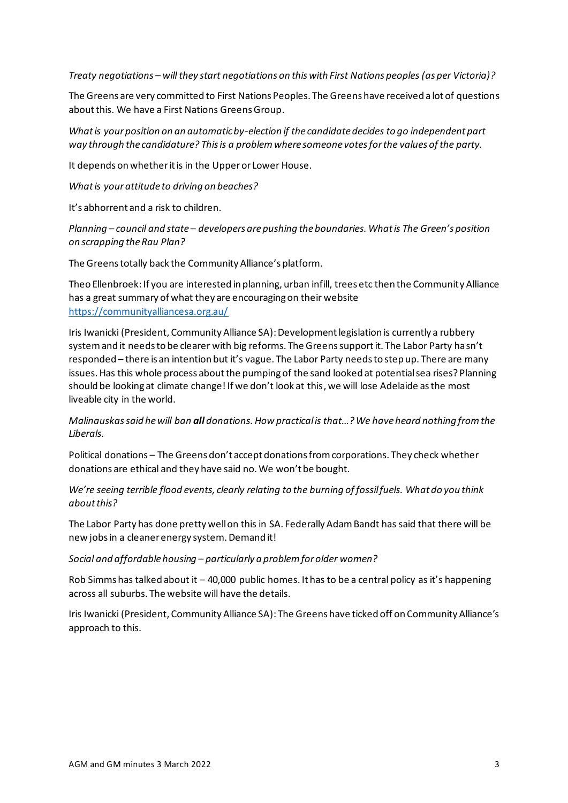*Treaty negotiations – will they start negotiations on this with First Nations peoples (as per Victoria)?*

The Greens are very committed to First Nations Peoples. The Greens have received a lot of questions about this. We have a First Nations Greens Group.

*What is your position on an automatic by-election if the candidate decides to go independent part way through the candidature? This is a problem where someone votes for the values of the party.*

It depends on whether it is in the Upper or Lower House.

*What is your attitude to driving on beaches?*

It's abhorrent and a risk to children.

*Planning – council and state – developers are pushing the boundaries. What is The Green's position on scrapping the Rau Plan?*

The Greens totally back the Community Alliance's platform.

Theo Ellenbroek: If you are interested in planning, urban infill, trees etc then the Community Alliance has a great summary of what they are encouraging on their website <https://communityalliancesa.org.au/>

Iris Iwanicki (President, Community Alliance SA): Development legislation is currently a rubbery system and it needs to be clearer with big reforms. The Greens support it. The Labor Party hasn't responded – there is an intention but it's vague. The Labor Party needs to step up. There are many issues. Has this whole process about the pumping of the sand looked at potential sea rises? Planning should be looking at climate change! If we don't look at this, we will lose Adelaide as the most liveable city in the world.

*Malinauskas said he will ban all donations. How practical is that…?We have heard nothing from the Liberals.*

Political donations – The Greens don't accept donations from corporations. They check whether donations are ethical and they have said no. We won't be bought.

*We're seeing terrible flood events, clearly relating to the burning of fossil fuels. What do you think about this?*

The Labor Party has done pretty well on this in SA. Federally Adam Bandt has said that there will be new jobs in a cleaner energy system. Demand it!

*Social and affordable housing – particularly a problem for older women?*

Rob Simms has talked about it – 40,000 public homes. It has to be a central policy as it's happening across all suburbs. The website will have the details.

Iris Iwanicki (President, Community Alliance SA): The Greens have ticked off on Community Alliance's approach to this.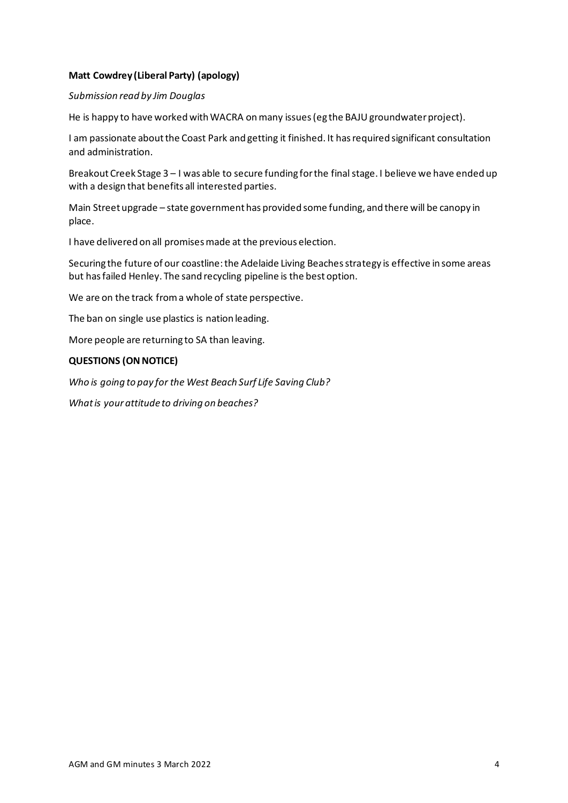## **Matt Cowdrey (Liberal Party) (apology)**

### *Submission read by Jim Douglas*

He is happy to have worked with WACRA on many issues (eg the BAJU groundwater project).

I am passionate about the Coast Park and getting it finished. It has required significant consultation and administration.

Breakout Creek Stage 3 – I was able to secure funding for the final stage. I believe we have ended up with a design that benefits all interested parties.

Main Street upgrade – state government has provided some funding, and there will be canopy in place.

I have delivered on all promises made at the previous election.

Securing the future of our coastline: the Adelaide Living Beaches strategy is effective in some areas but has failed Henley. The sand recycling pipeline is the best option.

We are on the track from a whole of state perspective.

The ban on single use plastics is nation leading.

More people are returning to SA than leaving.

#### **QUESTIONS (ON NOTICE)**

*Who is going to pay for the West Beach Surf Life Saving Club?*

*What is your attitude to driving on beaches?*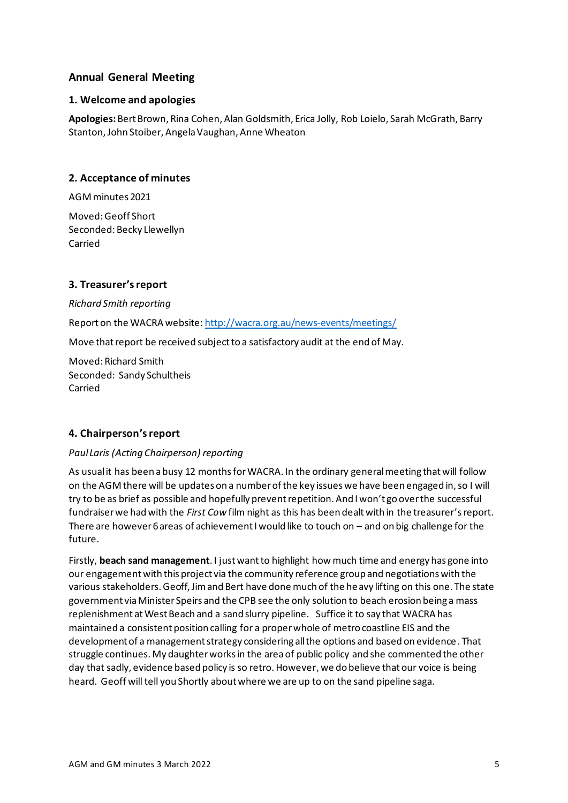## **Annual General Meeting**

### **1. Welcome and apologies**

**Apologies:** Bert Brown, Rina Cohen, Alan Goldsmith, Erica Jolly, Rob Loielo, Sarah McGrath, Barry Stanton, John Stoiber, Angela Vaughan, Anne Wheaton

## **2. Acceptance of minutes**

AGM minutes 2021

Moved: Geoff Short Seconded: Becky Llewellyn Carried

## **3. Treasurer's report**

*Richard Smith reporting* Report on the WACRA website: <http://wacra.org.au/news-events/meetings/> Move that report be received subject to a satisfactory audit at the end of May.

Moved: Richard Smith Seconded: Sandy Schultheis Carried

## **4. Chairperson's report**

## *Paul Laris (Acting Chairperson) reporting*

As usual it has been a busy 12 months for WACRA. In the ordinary general meeting that will follow on the AGM there will be updates on a number of the key issues we have been engaged in, so I will try to be as brief as possible and hopefully prevent repetition. And I won't go over the successful fundraiser we had with the *First Cow* film night as this has been dealt with in the treasurer's report. There are however 6 areas of achievement I would like to touch on – and on big challenge for the future.

Firstly, **beach sand management**. I just want to highlight how much time and energy has gone into our engagement with this project via the community reference group and negotiations with the various stakeholders. Geoff, Jim and Bert have done much of the heavy lifting on this one. The state government via Minister Speirs and the CPB see the only solution to beach erosion being a mass replenishment at West Beach and a sand slurry pipeline. Suffice it to say that WACRA has maintained a consistent position calling for a proper whole of metro coastline EIS and the development of a management strategy considering all the options and based on evidence . That struggle continues. My daughter works in the area of public policy and she commented the other day that sadly, evidence based policy is so retro. However, we do believe that our voice is being heard. Geoff will tell you Shortly about where we are up to on the sand pipeline saga.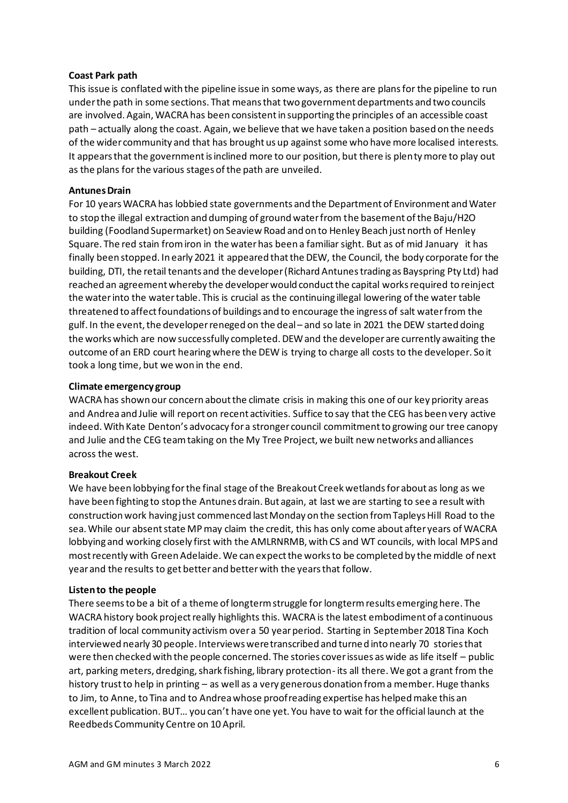#### **Coast Park path**

This issue is conflated with the pipeline issue in some ways, as there are plans for the pipeline to run under the path in some sections. That means that two government departments and two councils are involved. Again, WACRA has been consistent in supporting the principles of an accessible coast path – actually along the coast. Again, we believe that we have taken a position based on the needs of the wider community and that has brought us up against some who have more localised interests. It appears that the government is inclined more to our position, but there is plenty more to play out as the plans for the various stages of the path are unveiled.

### **Antunes Drain**

For 10 years WACRA has lobbied state governments and the Department of Environment and Water to stop the illegal extraction and dumping of ground water from the basement of the Baju/H2O building (Foodland Supermarket) on Seaview Road and on to Henley Beach just north of Henley Square. The red stain from iron in the water has been a familiar sight. But as of mid January it has finally been stopped. In early 2021 it appeared that the DEW, the Council, the body corporate for the building, DTI, the retail tenants and the developer (Richard Antunes trading as Bayspring Pty Ltd) had reached an agreement whereby the developer would conduct the capital works required to reinject the water into the water table. This is crucial as the continuing illegal lowering of the water table threatened to affect foundations of buildings and to encourage the ingress of salt water from the gulf. In the event, the developer reneged on the deal – and so late in 2021 the DEW started doing the works which are now successfully completed. DEW and the developer are currently awaiting the outcome of an ERD court hearing where the DEW is trying to charge all costs to the developer. So it took a long time, but we won in the end.

#### **Climate emergency group**

WACRA has shown our concern about the climate crisis in making this one of our key priority areas and Andrea and Julie will report on recent activities. Suffice to say that the CEG has been very active indeed. With Kate Denton's advocacy for a stronger council commitment to growing our tree canopy and Julie and the CEG team taking on the My Tree Project, we built new networks and alliances across the west.

#### **Breakout Creek**

We have been lobbying forthe final stage of the Breakout Creek wetlands for about as long as we have been fighting to stop the Antunes drain. But again, at last we are starting to see a result with construction work having just commenced last Monday on the section from Tapleys Hill Road to the sea. While our absent state MP may claim the credit, this has only come about after years of WACRA lobbying and working closely first with the AMLRNRMB, with CS and WT councils, with local MPS and most recently with Green Adelaide. We can expect the works to be completed by the middle of next year and the results to get better and better with the years that follow.

#### **Listen to the people**

There seems to be a bit of a theme of longterm struggle for longterm results emerging here. The WACRA history book project really highlights this. WACRA is the latest embodiment of a continuous tradition of local community activism over a 50 year period. Starting in September 2018 Tina Koch interviewed nearly 30 people. Interviews were transcribed and turned into nearly 70 stories that were then checked with the people concerned. The stories cover issues as wide as life itself – public art, parking meters, dredging, shark fishing, library protection- its all there. We got a grant from the history trust to help in printing – as well as a very generous donation from a member. Huge thanks to Jim, to Anne, to Tina and to Andrea whose proofreading expertise has helped make this an excellent publication. BUT… you can't have one yet. You have to wait for the official launch at the Reedbeds Community Centre on 10 April.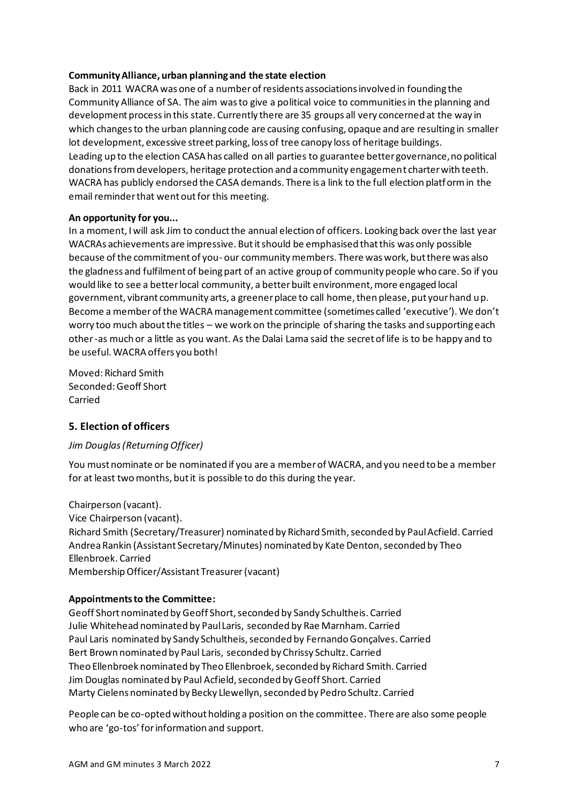#### **Community Alliance, urban planning and the state election**

Back in 2011 WACRA was one of a number of residents associations involved in founding the Community Alliance of SA. The aim was to give a political voice to communities in the planning and development process in this state. Currently there are 35 groups all very concerned at the way in which changes to the urban planning code are causing confusing, opaque and are resulting in smaller lot development, excessive street parking, loss of tree canopy loss of heritage buildings. Leading up to the election CASA has called on all parties to guarantee better governance, no political donations from developers, heritage protection and a community engagement charter with teeth. WACRA has publicly endorsed the CASA demands. There is a link to the full election platform in the email reminder that went out for this meeting.

### **An opportunity for you...**

In a moment, I will ask Jim to conduct the annual election of officers. Looking back over the last year WACRAs achievements are impressive. But it should be emphasised that this was only possible because of the commitment of you- our community members. There was work, but there was also the gladness and fulfilment of being part of an active group of community people who care. So if you would like to see a better local community, a better built environment, more engaged local government, vibrant community arts, a greener place to call home, then please, put your hand up. Become a member of the WACRA management committee (sometimes called 'executive'). We don't worry too much about the titles – we work on the principle of sharing the tasks and supporting each other -as much or a little as you want. As the Dalai Lama said the secret of life is to be happy and to be useful. WACRA offers you both!

Moved: Richard Smith Seconded: Geoff Short Carried

## **5. Election of officers**

## *Jim Douglas (Returning Officer)*

You must nominate or be nominated if you are a member of WACRA, and you need to be a member for at least two months, but it is possible to do this during the year.

Chairperson (vacant). Vice Chairperson (vacant). Richard Smith (Secretary/Treasurer) nominated by Richard Smith, seconded by Paul Acfield. Carried Andrea Rankin (Assistant Secretary/Minutes) nominated by Kate Denton, seconded by Theo Ellenbroek. Carried Membership Officer/Assistant Treasurer(vacant)

#### **Appointments to the Committee:**

Geoff Short nominated by Geoff Short, seconded by Sandy Schultheis. Carried Julie Whitehead nominated by Paul Laris, seconded by Rae Marnham. Carried Paul Laris nominated by Sandy Schultheis, seconded by Fernando Gonçalves. Carried Bert Brown nominated by Paul Laris, seconded by Chrissy Schultz. Carried Theo Ellenbroek nominated by Theo Ellenbroek, seconded by Richard Smith. Carried Jim Douglas nominated by Paul Acfield, seconded by Geoff Short. Carried Marty Cielens nominated by Becky Llewellyn, seconded by Pedro Schultz. Carried

People can be co-opted without holding a position on the committee. There are also some people who are 'go-tos' for information and support.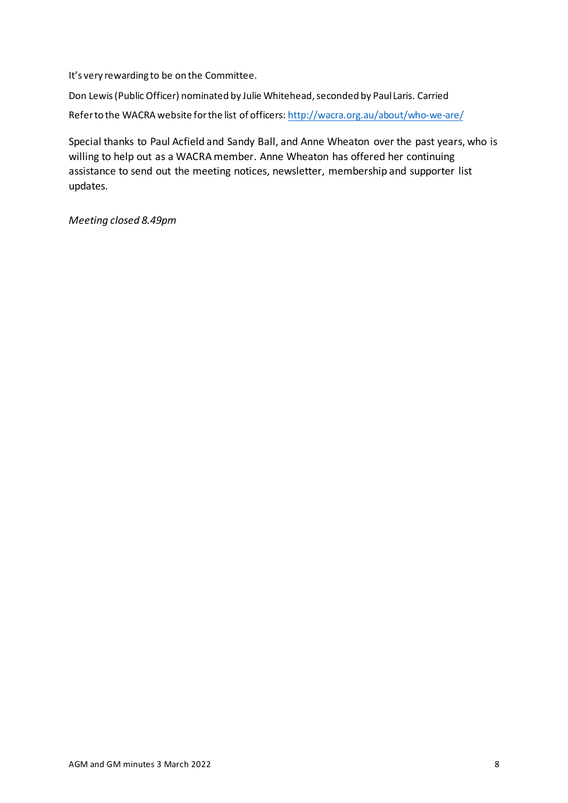It's very rewarding to be on the Committee.

Don Lewis (Public Officer) nominated by Julie Whitehead, seconded by Paul Laris. Carried Refer to the WACRA website for the list of officers[: http://wacra.org.au/about/who-we-are/](http://wacra.org.au/about/who-we-are/)

Special thanks to Paul Acfield and Sandy Ball, and Anne Wheaton over the past years, who is willing to help out as a WACRA member. Anne Wheaton has offered her continuing assistance to send out the meeting notices, newsletter, membership and supporter list updates.

*Meeting closed 8.49pm*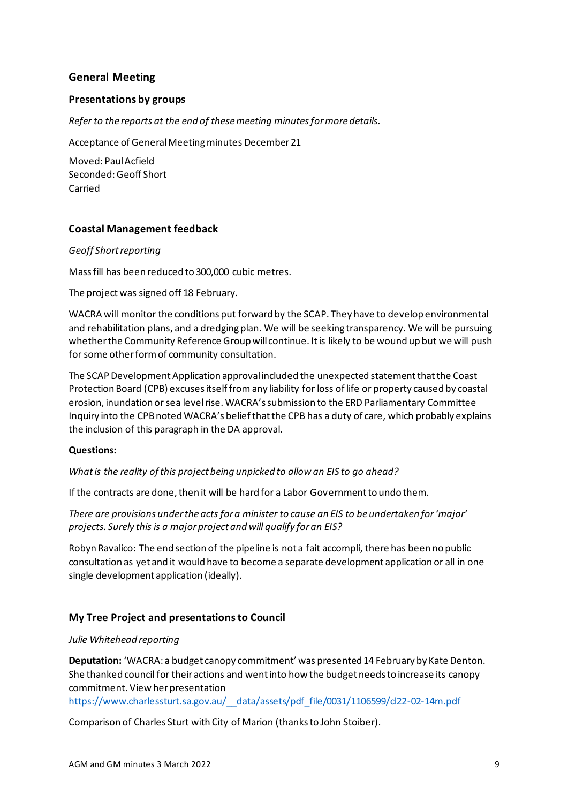## **General Meeting**

### **Presentations by groups**

*Refer to the reports at the end of thesemeeting minutesfor more details.*

Acceptance of General Meeting minutes December 21

Moved: Paul Acfield Seconded:Geoff Short Carried

## **Coastal Management feedback**

#### *Geoff Short reporting*

Mass fill has been reduced to 300,000 cubic metres.

The project was signed off 18 February.

WACRA will monitor the conditions put forward by the SCAP. They have to develop environmental and rehabilitation plans, and a dredging plan. We will be seeking transparency. We will be pursuing whether the Community Reference Group will continue. It is likely to be wound up but we will push for some other form of community consultation.

The SCAP Development Application approval included the unexpected statement that the Coast Protection Board (CPB) excuses itself from any liability for loss of life or property caused by coastal erosion, inundation or sea level rise. WACRA's submission to the ERD Parliamentary Committee Inquiry into the CPB noted WACRA's belief that the CPB has a duty of care, which probably explains the inclusion of this paragraph in the DA approval.

#### **Questions:**

*What is the reality of this project being unpicked to allow an EIS to go ahead?*

If the contracts are done, then it will be hard for a Labor Government to undo them.

*There are provisions under the acts for a minister to cause an EIS to be undertaken for 'major' projects. Surely this is a major project and will qualify for an EIS?*

Robyn Ravalico: The end section of the pipeline is not a fait accompli, there has been no public consultation as yet and it would have to become a separate development application or all in one single development application (ideally).

## **My Tree Project and presentations to Council**

#### *Julie Whitehead reporting*

**Deputation:** 'WACRA: a budget canopy commitment' was presented 14 February by Kate Denton. She thanked council for their actions and went into how the budget needs to increase its canopy commitment. View her presentation

[https://www.charlessturt.sa.gov.au/\\_\\_data/assets/pdf\\_file/0031/1106599/cl22-02-14m.pdf](https://www.charlessturt.sa.gov.au/__data/assets/pdf_file/0031/1106599/cl22-02-14m.pdf)

Comparison of Charles Sturt with City of Marion (thanks to John Stoiber).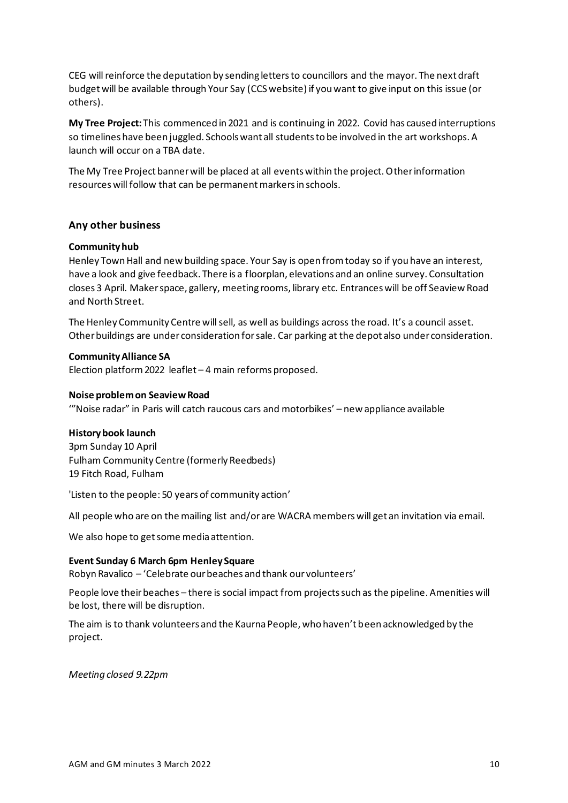CEG will reinforce the deputation by sending letters to councillors and the mayor. The next draft budget will be available through Your Say (CCS website) if you want to give input on this issue (or others).

**My Tree Project:** This commenced in 2021 and is continuing in 2022. Covid has caused interruptions so timelines have been juggled. Schools want all students to be involved in the art workshops. A launch will occur on a TBA date.

The My Tree Project banner will be placed at all events within the project. Other information resources will follow that can be permanent markers in schools.

### **Any other business**

#### **Community hub**

Henley Town Hall and new building space. Your Say is open from today so if you have an interest, have a look and give feedback. There is a floorplan, elevations and an online survey. Consultation closes 3 April. Maker space, gallery, meeting rooms, library etc. Entrances will be off Seaview Road and North Street.

The Henley Community Centre will sell, as well as buildings across the road. It's a council asset. Other buildings are under consideration for sale. Car parking at the depot also under consideration.

#### **Community Alliance SA**

Election platform 2022 leaflet – 4 main reforms proposed.

#### **Noise problem on Seaview Road**

'"Noise radar" in Paris will catch raucous cars and motorbikes' – new appliance available

#### **History book launch**

3pm Sunday 10 April Fulham Community Centre (formerly Reedbeds) 19 Fitch Road, Fulham

'Listen to the people: 50 years of community action'

All people who are on the mailing list and/or are WACRA members will get an invitation via email.

We also hope to get some media attention.

#### **Event Sunday 6 March 6pm Henley Square**

Robyn Ravalico – 'Celebrate our beaches and thank our volunteers'

People love their beaches – there is social impact from projects such as the pipeline. Amenities will be lost, there will be disruption.

The aim is to thank volunteers and the Kaurna People, who haven't been acknowledged by the project.

*Meeting closed 9.22pm*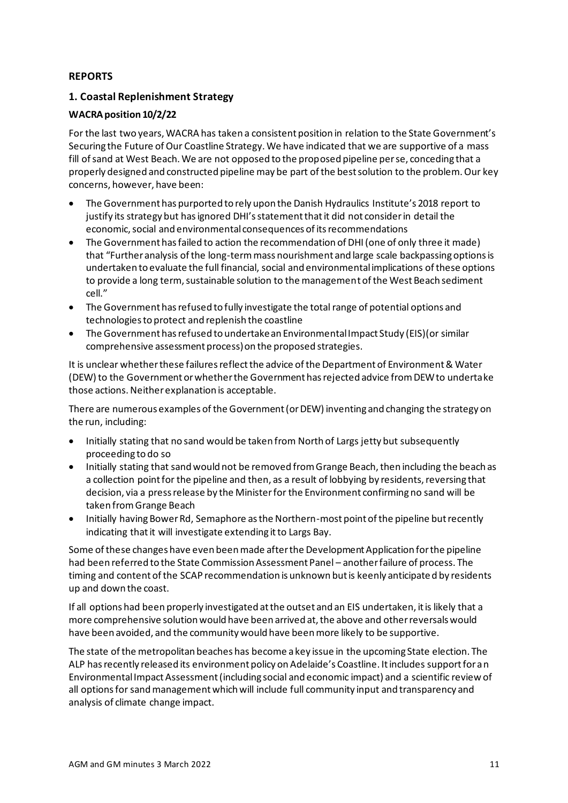## **REPORTS**

## **1. Coastal Replenishment Strategy**

## **WACRA position 10/2/22**

For the last two years, WACRA has taken a consistent position in relation to the State Government's Securing the Future of Our Coastline Strategy. We have indicated that we are supportive of a mass fill of sand at West Beach. We are not opposed to the proposed pipeline per se, conceding that a properly designed and constructed pipeline may be part of the best solution to the problem. Our key concerns, however, have been:

- The Government has purported to rely upon the Danish Hydraulics Institute's 2018 report to justify its strategy but has ignored DHI's statement that it did not consider in detail the economic, social and environmental consequences of its recommendations
- The Government has failed to action the recommendation of DHI (one of only three it made) that "Further analysis of the long-term mass nourishment and large scale backpassing options is undertaken to evaluate the full financial, social and environmental implications of these options to provide a long term, sustainable solution to the management of the West Beach sediment cell."
- The Government has refused to fully investigate the total range of potential options and technologies to protect and replenish the coastline
- The Government has refused to undertake an Environmental Impact Study (EIS)(or similar comprehensive assessment process) on the proposed strategies.

It is unclear whether these failures reflect the advice of the Department of Environment & Water (DEW) to the Government or whether the Government has rejected advice from DEW to undertake those actions. Neither explanation is acceptable.

There are numerous examples of the Government (or DEW) inventing and changing the strategy on the run, including:

- Initially stating that no sand would be taken from North of Largs jetty but subsequently proceeding to do so
- Initially stating that sand would not be removed from Grange Beach, then including the beach as a collection point for the pipeline and then, as a result of lobbying by residents, reversing that decision, via a press release by the Minister for the Environment confirming no sand will be taken from Grange Beach
- Initially having Bower Rd, Semaphore as the Northern-most point of the pipeline but recently indicating that it will investigate extending it to Largs Bay.

Some of these changes have even been made after the Development Application for the pipeline had been referred to the State Commission Assessment Panel – another failure of process. The timing and content of the SCAP recommendation is unknown but is keenly anticipated by residents up and down the coast.

If all options had been properly investigated at the outset and an EIS undertaken, it is likely that a more comprehensive solution would have been arrived at, the above and other reversals would have been avoided, and the community would have been more likely to be supportive.

The state of the metropolitan beaches has become a key issue in the upcoming State election. The ALP has recently released its environment policy on Adelaide's Coastline. It includes support for an Environmental Impact Assessment (including social and economic impact) and a scientific review of all options for sand management which will include full community input and transparency and analysis of climate change impact.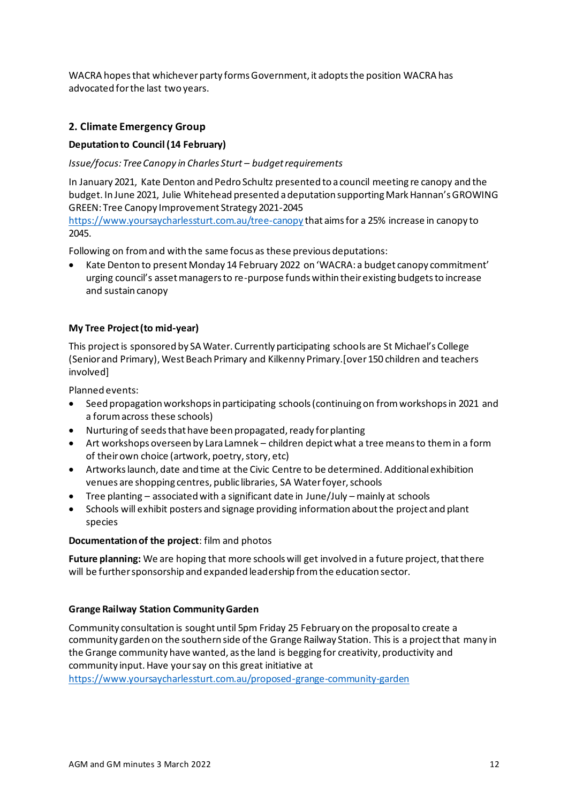WACRA hopes that whichever party forms Government, it adopts the position WACRA has advocated for the last two years.

## **2. Climate Emergency Group**

## **Deputation to Council (14 February)**

*Issue/focus: Tree Canopy in Charles Sturt – budget requirements*

In January 2021, Kate Denton and Pedro Schultz presented to a council meeting re canopy and the budget. In June 2021, Julie Whitehead presented a deputation supporting Mark Hannan's GROWING GREEN: Tree Canopy Improvement Strategy 2021-2045

<https://www.yoursaycharlessturt.com.au/tree-canopy> that aims for a 25% increase in canopy to 2045.

Following on from and with the same focus as these previous deputations:

• Kate Denton to present Monday 14 February 2022 on 'WACRA: a budget canopy commitment' urging council's asset managers to re-purpose funds within their existing budgets to increase and sustain canopy

## **My Tree Project (to mid-year)**

This project is sponsored by SA Water. Currently participating schools are St Michael's College (Senior and Primary), West Beach Primary and Kilkenny Primary.[over 150 children and teachers involved]

Planned events:

- Seed propagation workshops in participating schools (continuing on from workshops in 2021 and a forum across these schools)
- Nurturing of seeds that have been propagated, ready for planting
- Art workshops overseen by Lara Lamnek children depict what a tree means to them in a form of their own choice (artwork, poetry, story, etc)
- Artworks launch, date and time at the Civic Centre to be determined. Additional exhibition venues are shopping centres, public libraries, SA Water foyer, schools
- Tree planting associated with a significant date in June/July mainly at schools
- Schools will exhibit posters and signage providing information about the project and plant species

#### **Documentation of the project**: film and photos

**Future planning:** We are hoping that more schools will get involved in a future project, that there will be further sponsorship and expanded leadership from the education sector.

## **Grange Railway Station Community Garden**

Community consultation is sought until 5pm Friday 25 February on the proposal to create a community garden on the southern side of the Grange Railway Station. This is a project that many in the Grange community have wanted, as the land is begging for creativity, productivity and community input. Have your say on this great initiative at

<https://www.yoursaycharlessturt.com.au/proposed-grange-community-garden>